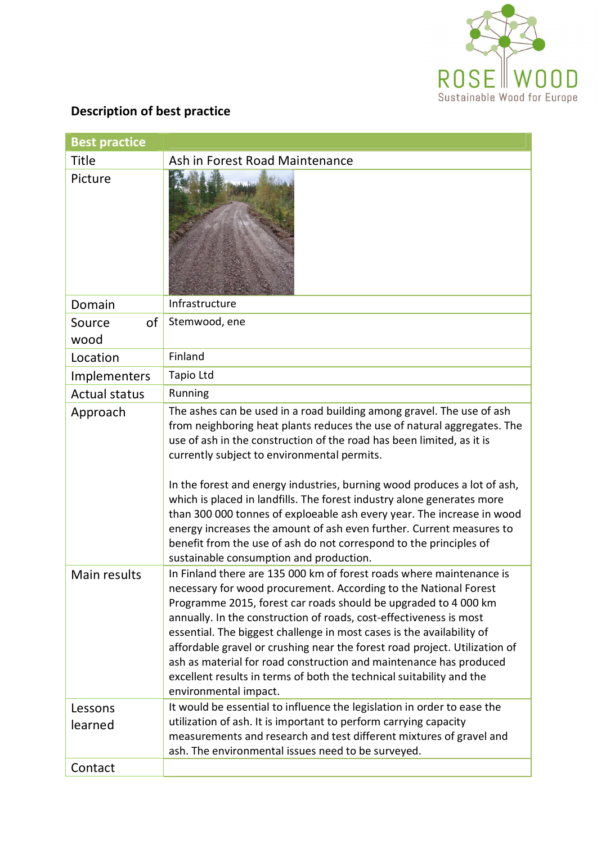

## **Description of best practice**

| <b>Best practice</b> |                                                                                                                                                                                                                                                                                                                                                                                                                                                                                                                                                                                                                                                                                                   |  |
|----------------------|---------------------------------------------------------------------------------------------------------------------------------------------------------------------------------------------------------------------------------------------------------------------------------------------------------------------------------------------------------------------------------------------------------------------------------------------------------------------------------------------------------------------------------------------------------------------------------------------------------------------------------------------------------------------------------------------------|--|
| Title                | Ash in Forest Road Maintenance                                                                                                                                                                                                                                                                                                                                                                                                                                                                                                                                                                                                                                                                    |  |
| Picture              |                                                                                                                                                                                                                                                                                                                                                                                                                                                                                                                                                                                                                                                                                                   |  |
| Domain               | Infrastructure                                                                                                                                                                                                                                                                                                                                                                                                                                                                                                                                                                                                                                                                                    |  |
| of<br>Source         | Stemwood, ene                                                                                                                                                                                                                                                                                                                                                                                                                                                                                                                                                                                                                                                                                     |  |
| wood                 |                                                                                                                                                                                                                                                                                                                                                                                                                                                                                                                                                                                                                                                                                                   |  |
| Location             | Finland                                                                                                                                                                                                                                                                                                                                                                                                                                                                                                                                                                                                                                                                                           |  |
| Implementers         | Tapio Ltd                                                                                                                                                                                                                                                                                                                                                                                                                                                                                                                                                                                                                                                                                         |  |
| <b>Actual status</b> | Running                                                                                                                                                                                                                                                                                                                                                                                                                                                                                                                                                                                                                                                                                           |  |
| Approach             | The ashes can be used in a road building among gravel. The use of ash<br>from neighboring heat plants reduces the use of natural aggregates. The<br>use of ash in the construction of the road has been limited, as it is<br>currently subject to environmental permits.<br>In the forest and energy industries, burning wood produces a lot of ash,<br>which is placed in landfills. The forest industry alone generates more<br>than 300 000 tonnes of exploeable ash every year. The increase in wood<br>energy increases the amount of ash even further. Current measures to<br>benefit from the use of ash do not correspond to the principles of<br>sustainable consumption and production. |  |
| Main results         | In Finland there are 135 000 km of forest roads where maintenance is<br>necessary for wood procurement. According to the National Forest<br>Programme 2015, forest car roads should be upgraded to 4 000 km<br>annually. In the construction of roads, cost-effectiveness is most<br>essential. The biggest challenge in most cases is the availability of<br>affordable gravel or crushing near the forest road project. Utilization of<br>ash as material for road construction and maintenance has produced<br>excellent results in terms of both the technical suitability and the<br>environmental impact.                                                                                   |  |
| Lessons<br>learned   | It would be essential to influence the legislation in order to ease the<br>utilization of ash. It is important to perform carrying capacity<br>measurements and research and test different mixtures of gravel and<br>ash. The environmental issues need to be surveyed.                                                                                                                                                                                                                                                                                                                                                                                                                          |  |
| Contact              |                                                                                                                                                                                                                                                                                                                                                                                                                                                                                                                                                                                                                                                                                                   |  |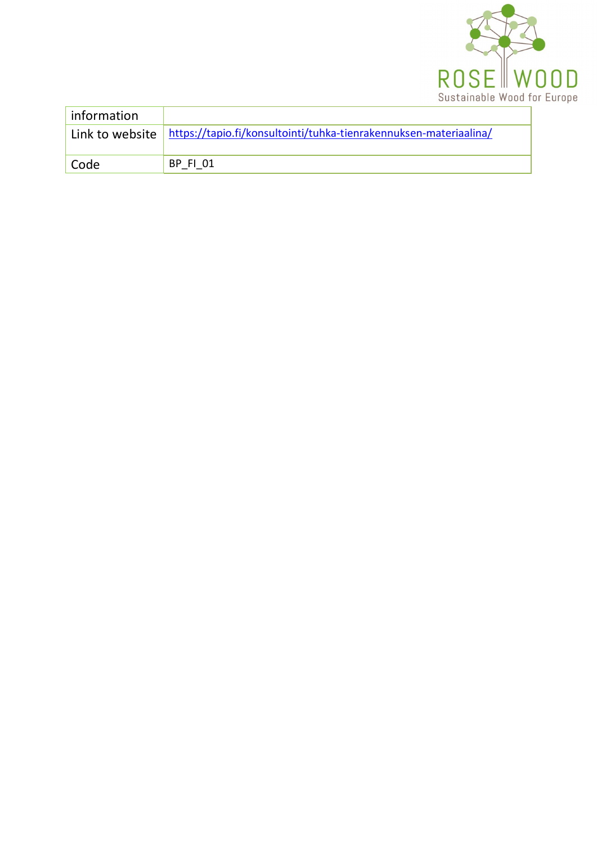

| information |                                                                                     |
|-------------|-------------------------------------------------------------------------------------|
|             | Link to website   https://tapio.fi/konsultointi/tuhka-tienrakennuksen-materiaalina/ |
| Code        | <b>BP FI 01</b>                                                                     |